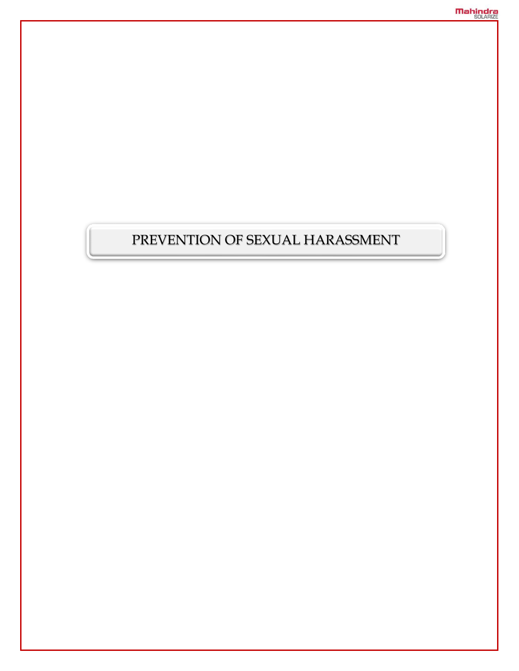# PREVENTION OF SEXUAL HARASSMENT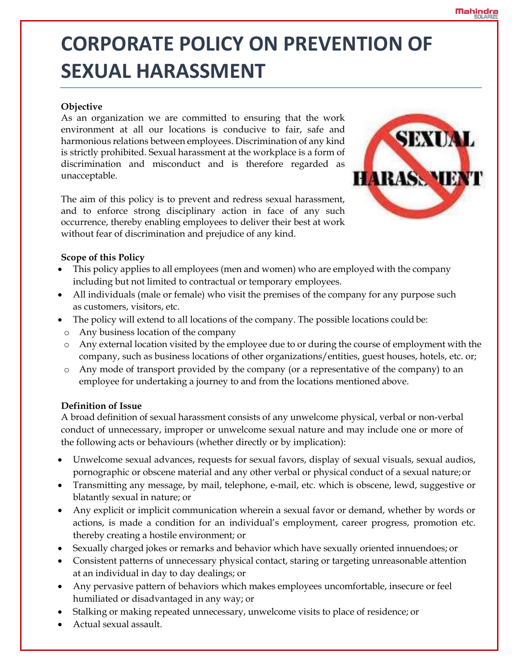# **CORPORATE POLICY ON PREVENTION OF SEXUAL HARASSMENT**

# **Objective**

As an organization we are committed to ensuring that the work environment at all our locations is conducive to fair, safe and harmonious relations between employees. Discrimination of any kind is strictly prohibited. Sexual harassment at the workplace is a form of discrimination and misconduct and is therefore regarded as unacceptable.

The aim of this policy is to prevent and redress sexual harassment, and to enforce strong disciplinary action in face of any such occurrence, thereby enabling employees to deliver their best at work without fear of discrimination and prejudice of any kind.



# **Scope of this Policy**

- This policy applies to all employees (men and women) who are employed with the company including but not limited to contractual or temporary employees.
- All individuals (male or female) who visit the premises of the company for any purpose such as customers, visitors, etc.
- The policy will extend to all locations of the company. The possible locations could be:
	- o Any business location of the company
	- o Any external location visited by the employee due to or during the course of employment with the company, such as business locations of other organizations/entities, guest houses, hotels, etc. or;
	- o Any mode of transport provided by the company (or a representative of the company) to an employee for undertaking a journey to and from the locations mentioned above.

# **Definition of Issue**

A broad definition of sexual harassment consists of any unwelcome physical, verbal or non-verbal conduct of unnecessary, improper or unwelcome sexual nature and may include one or more of the following acts or behaviours (whether directly or by implication):

- Unwelcome sexual advances, requests for sexual favors, display of sexual visuals, sexual audios, pornographic or obscene material and any other verbal or physical conduct of a sexual nature; or
- Transmitting any message, by mail, telephone, e-mail, etc. which is obscene, lewd, suggestive or blatantly sexual in nature; or
- Any explicit or implicit communication wherein a sexual favor or demand, whether by words or actions, is made a condition for an individual's employment, career progress, promotion etc. thereby creating a hostile environment; or
- Sexually charged jokes or remarks and behavior which have sexually oriented innuendoes; or
- Consistent patterns of unnecessary physical contact, staring or targeting unreasonable attention at an individual in day to day dealings; or
- Any pervasive pattern of behaviors which makes employees uncomfortable, insecure or feel humiliated or disadvantaged in any way; or
- Stalking or making repeated unnecessary, unwelcome visits to place of residence; or
- Actual sexual assault.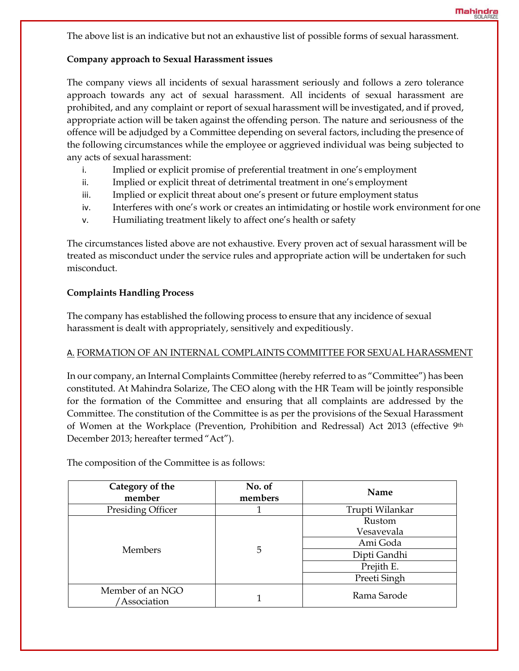The above list is an indicative but not an exhaustive list of possible forms of sexual harassment.

#### **Company approach to Sexual Harassment issues**

The company views all incidents of sexual harassment seriously and follows a zero tolerance approach towards any act of sexual harassment. All incidents of sexual harassment are prohibited, and any complaint or report of sexual harassment will be investigated, and if proved, appropriate action will be taken against the offending person. The nature and seriousness of the offence will be adjudged by a Committee depending on several factors, including the presence of the following circumstances while the employee or aggrieved individual was being subjected to any acts of sexual harassment:

- i. Implied or explicit promise of preferential treatment in one's employment
- ii. Implied or explicit threat of detrimental treatment in one's employment
- iii. Implied or explicit threat about one's present or future employment status
- iv. Interferes with one's work or creates an intimidating or hostile work environment for one
- v. Humiliating treatment likely to affect one's health or safety

The circumstances listed above are not exhaustive. Every proven act of sexual harassment will be treated as misconduct under the service rules and appropriate action will be undertaken for such misconduct.

# **Complaints Handling Process**

The company has established the following process to ensure that any incidence of sexual harassment is dealt with appropriately, sensitively and expeditiously.

# A. FORMATION OF AN INTERNAL COMPLAINTS COMMITTEE FOR SEXUAL HARASSMENT

In our company, an Internal Complaints Committee (hereby referred to as "Committee") has been constituted. At Mahindra Solarize, The CEO along with the HR Team will be jointly responsible for the formation of the Committee and ensuring that all complaints are addressed by the Committee. The constitution of the Committee is as per the provisions of the Sexual Harassment of Women at the Workplace (Prevention, Prohibition and Redressal) Act 2013 (effective 9th December 2013; hereafter termed "Act").

The composition of the Committee is as follows:

| Category of the<br>member        | No. of<br>members | Name                                                                           |  |
|----------------------------------|-------------------|--------------------------------------------------------------------------------|--|
| Presiding Officer                |                   | Trupti Wilankar                                                                |  |
| <b>Members</b>                   | 5                 | Rustom<br>Vesavevala<br>Ami Goda<br>Dipti Gandhi<br>Prejith E.<br>Preeti Singh |  |
| Member of an NGO<br>'Association |                   | Rama Sarode                                                                    |  |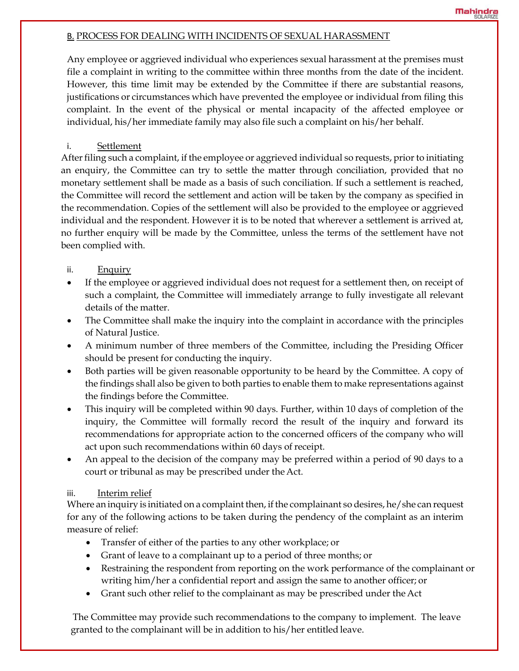#### B. PROCESS FOR DEALING WITH INCIDENTS OF SEXUAL HARASSMENT

Any employee or aggrieved individual who experiences sexual harassment at the premises must file a complaint in writing to the committee within three months from the date of the incident. However, this time limit may be extended by the Committee if there are substantial reasons, justifications or circumstances which have prevented the employee or individual from filing this complaint. In the event of the physical or mental incapacity of the affected employee or individual, his/her immediate family may also file such a complaint on his/her behalf.

# i. Settlement

After filing such a complaint, if the employee or aggrieved individual so requests, prior to initiating an enquiry, the Committee can try to settle the matter through conciliation, provided that no monetary settlement shall be made as a basis of such conciliation. If such a settlement is reached, the Committee will record the settlement and action will be taken by the company as specified in the recommendation. Copies of the settlement will also be provided to the employee or aggrieved individual and the respondent. However it is to be noted that wherever a settlement is arrived at, no further enquiry will be made by the Committee, unless the terms of the settlement have not been complied with.

# ii. Enquiry

- If the employee or aggrieved individual does not request for a settlement then, on receipt of such a complaint, the Committee will immediately arrange to fully investigate all relevant details of the matter.
- The Committee shall make the inquiry into the complaint in accordance with the principles of Natural Justice.
- A minimum number of three members of the Committee, including the Presiding Officer should be present for conducting the inquiry.
- Both parties will be given reasonable opportunity to be heard by the Committee. A copy of the findings shall also be given to both parties to enable them to make representations against the findings before the Committee.
- This inquiry will be completed within 90 days. Further, within 10 days of completion of the inquiry, the Committee will formally record the result of the inquiry and forward its recommendations for appropriate action to the concerned officers of the company who will act upon such recommendations within 60 days of receipt.
- An appeal to the decision of the company may be preferred within a period of 90 days to a court or tribunal as may be prescribed under the Act.

# iii. Interim relief

Where an inquiry is initiated on a complaint then, if the complainant so desires, he/she can request for any of the following actions to be taken during the pendency of the complaint as an interim measure of relief:

- Transfer of either of the parties to any other workplace; or
- Grant of leave to a complainant up to a period of three months; or
- Restraining the respondent from reporting on the work performance of the complainant or writing him/her a confidential report and assign the same to another officer; or
- Grant such other relief to the complainant as may be prescribed under the Act

The Committee may provide such recommendations to the company to implement. The leave granted to the complainant will be in addition to his/her entitled leave.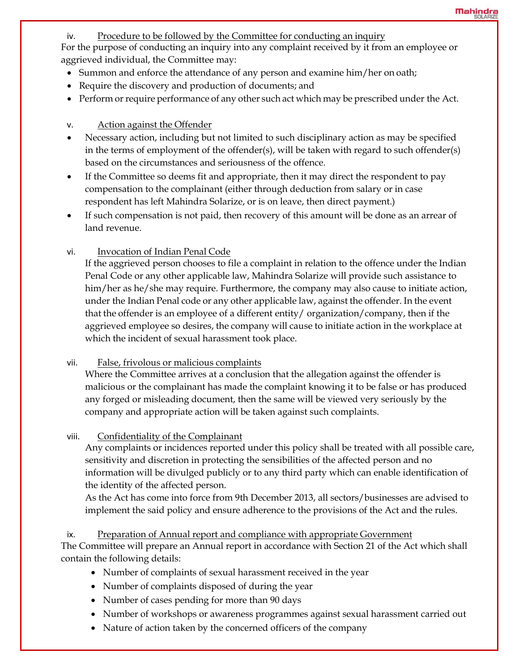iv. Procedure to be followed by the Committee for conducting an inquiry

For the purpose of conducting an inquiry into any complaint received by it from an employee or aggrieved individual, the Committee may:

- Summon and enforce the attendance of any person and examine him/her on oath;
- Require the discovery and production of documents; and
- Perform or require performance of any other such act which may be prescribed under the Act.

# v. Action against the Offender

- Necessary action, including but not limited to such disciplinary action as may be specified in the terms of employment of the offender(s), will be taken with regard to such offender(s) based on the circumstances and seriousness of the offence.
- If the Committee so deems fit and appropriate, then it may direct the respondent to pay compensation to the complainant (either through deduction from salary or in case respondent has left Mahindra Solarize, or is on leave, then direct payment.)
- If such compensation is not paid, then recovery of this amount will be done as an arrear of land revenue.
- vi. Invocation of Indian Penal Code

If the aggrieved person chooses to file a complaint in relation to the offence under the Indian Penal Code or any other applicable law, Mahindra Solarize will provide such assistance to him/her as he/she may require. Furthermore, the company may also cause to initiate action, under the Indian Penal code or any other applicable law, against the offender. In the event that the offender is an employee of a different entity/ organization/company, then if the aggrieved employee so desires, the company will cause to initiate action in the workplace at which the incident of sexual harassment took place.

# vii. False, frivolous or malicious complaints

Where the Committee arrives at a conclusion that the allegation against the offender is malicious or the complainant has made the complaint knowing it to be false or has produced any forged or misleading document, then the same will be viewed very seriously by the company and appropriate action will be taken against such complaints.

# viii. Confidentiality of the Complainant

Any complaints or incidences reported under this policy shall be treated with all possible care, sensitivity and discretion in protecting the sensibilities of the affected person and no information will be divulged publicly or to any third party which can enable identification of the identity of the affected person.

As the Act has come into force from 9th December 2013, all sectors/businesses are advised to implement the said policy and ensure adherence to the provisions of the Act and the rules.

# ix. Preparation of Annual report and compliance with appropriate Government The Committee will prepare an Annual report in accordance with Section 21 of the Act which shall contain the following details:

- Number of complaints of sexual harassment received in the year
- Number of complaints disposed of during the year
- Number of cases pending for more than 90 days
- Number of workshops or awareness programmes against sexual harassment carried out
- Nature of action taken by the concerned officers of the company